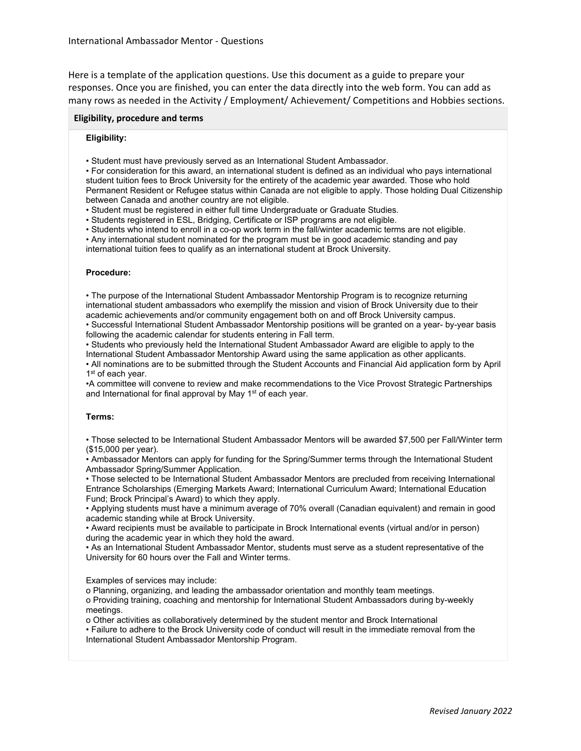Here is a template of the application questions. Use this document as a guide to prepare your responses. Once you are finished, you can enter the data directly into the web form. You can add as many rows as needed in the Activity / Employment/ Achievement/ Competitions and Hobbies sections.

#### **Eligibility, procedure and terms**

### **Eligibility:**

• Student must have previously served as an International Student Ambassador.

• For consideration for this award, an international student is defined as an individual who pays international student tuition fees to Brock University for the entirety of the academic year awarded. Those who hold Permanent Resident or Refugee status within Canada are not eligible to apply. Those holding Dual Citizenship between Canada and another country are not eligible.

• Student must be registered in either full time Undergraduate or Graduate Studies.

• Students registered in ESL, Bridging, Certificate or ISP programs are not eligible.

• Students who intend to enroll in a co-op work term in the fall/winter academic terms are not eligible.

• Any international student nominated for the program must be in good academic standing and pay international tuition fees to qualify as an international student at Brock University.

### **Procedure:**

• The purpose of the International Student Ambassador Mentorship Program is to recognize returning international student ambassadors who exemplify the mission and vision of Brock University due to their academic achievements and/or community engagement both on and off Brock University campus.

• Successful International Student Ambassador Mentorship positions will be granted on a year- by-year basis following the academic calendar for students entering in Fall term.

• Students who previously held the International Student Ambassador Award are eligible to apply to the International Student Ambassador Mentorship Award using the same application as other applicants.

• All nominations are to be submitted through the Student Accounts and Financial Aid application form by April 1<sup>st</sup> of each year.

•A committee will convene to review and make recommendations to the Vice Provost Strategic Partnerships and International for final approval by May 1<sup>st</sup> of each year.

### **Terms:**

• Those selected to be International Student Ambassador Mentors will be awarded \$7,500 per Fall/Winter term (\$15,000 per year).

• Ambassador Mentors can apply for funding for the Spring/Summer terms through the International Student Ambassador Spring/Summer Application.

• Those selected to be International Student Ambassador Mentors are precluded from receiving International Entrance Scholarships (Emerging Markets Award; International Curriculum Award; International Education Fund; Brock Principal's Award) to which they apply.

• Applying students must have a minimum average of 70% overall (Canadian equivalent) and remain in good academic standing while at Brock University.

• Award recipients must be available to participate in Brock International events (virtual and/or in person) during the academic year in which they hold the award.

• As an International Student Ambassador Mentor, students must serve as a student representative of the University for 60 hours over the Fall and Winter terms.

Examples of services may include:

o Planning, organizing, and leading the ambassador orientation and monthly team meetings.

o Providing training, coaching and mentorship for International Student Ambassadors during by-weekly meetings.

o Other activities as collaboratively determined by the student mentor and Brock International

• Failure to adhere to the Brock University code of conduct will result in the immediate removal from the International Student Ambassador Mentorship Program.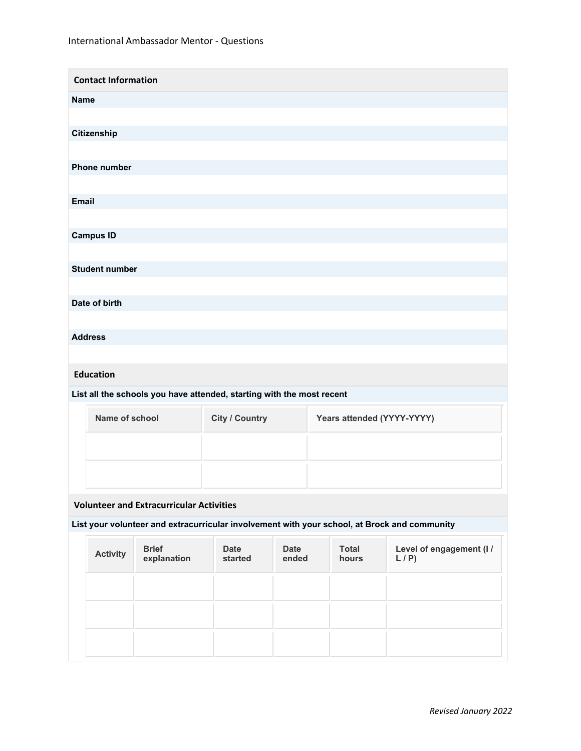| <b>Contact Information</b> |
|----------------------------|
| <b>Name</b>                |
|                            |
| Citizenship                |
|                            |
| Phone number               |
|                            |
| Email                      |
|                            |
| <b>Campus ID</b>           |
|                            |
| <b>Student number</b>      |
|                            |
| Date of birth              |
|                            |
| <b>Address</b>             |
|                            |
|                            |

# **Education**

## **List all the schools you have attended, starting with the most recent**

| Name of school | <b>City / Country</b> | Years attended (YYYY-YYYY) |
|----------------|-----------------------|----------------------------|
|                |                       |                            |
|                |                       |                            |

# **Volunteer and Extracurricular Activities**

## **List your volunteer and extracurricular involvement with your school, at Brock and community**

| <b>Activity</b> | <b>Brief</b><br>explanation | <b>Date</b><br>started | Date<br>ended | <b>Total</b><br>hours | Level of engagement (I/<br>L/P |
|-----------------|-----------------------------|------------------------|---------------|-----------------------|--------------------------------|
|                 |                             |                        |               |                       |                                |
|                 |                             |                        |               |                       |                                |
|                 |                             |                        |               |                       |                                |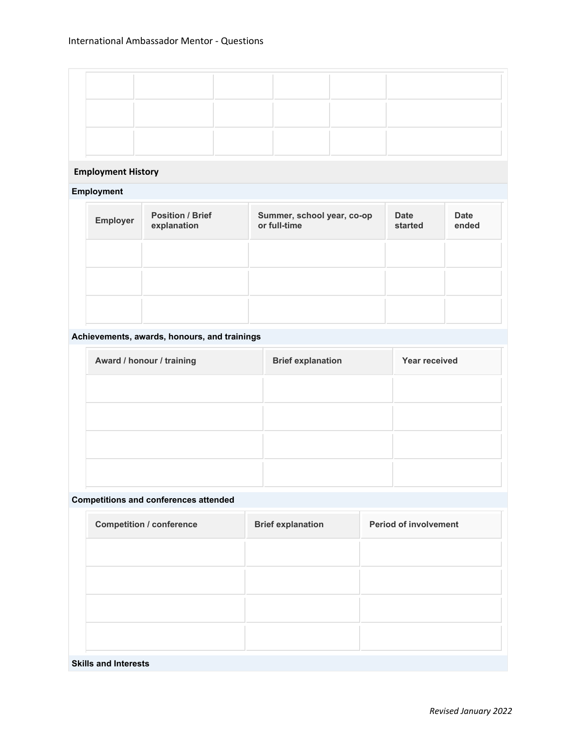# **Employment History**

## **Employment**

| Employer | <b>Position / Brief</b><br>explanation | Summer, school year, co-op<br>or full-time | <b>Date</b><br>started | <b>Date</b><br>ended |
|----------|----------------------------------------|--------------------------------------------|------------------------|----------------------|
|          |                                        |                                            |                        |                      |
|          |                                        |                                            |                        |                      |
|          |                                        |                                            |                        |                      |

## **Achievements, awards, honours, and trainings**

| Award / honour / training | <b>Brief explanation</b> | Year received |
|---------------------------|--------------------------|---------------|
|                           |                          |               |
|                           |                          |               |
|                           |                          |               |
|                           |                          |               |

## **Competitions and conferences attended**

| <b>Competition / conference</b> | <b>Brief explanation</b> | <b>Period of involvement</b> |
|---------------------------------|--------------------------|------------------------------|
|                                 |                          |                              |
|                                 |                          |                              |
|                                 |                          |                              |
|                                 |                          |                              |
|                                 |                          |                              |

### **Skills and Interests**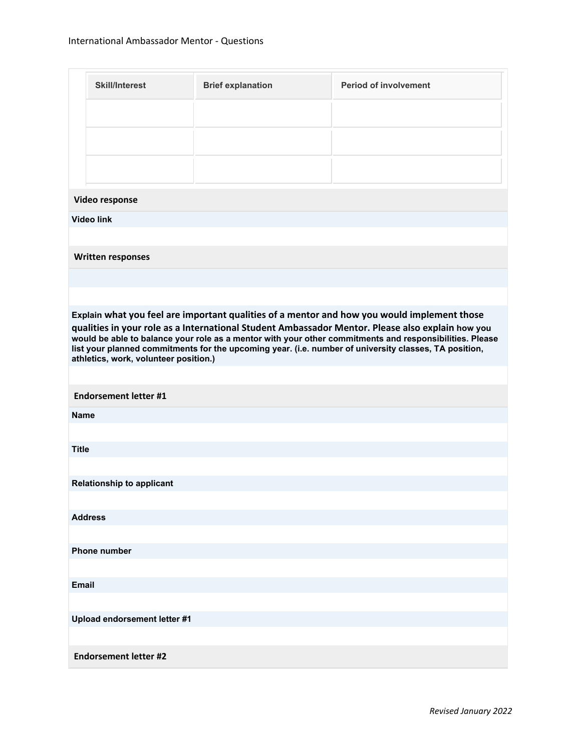|              | <b>Skill/Interest</b>                 | <b>Brief explanation</b> | <b>Period of involvement</b>                                                                                                                                                                                                                                                                                                                                                                                        |
|--------------|---------------------------------------|--------------------------|---------------------------------------------------------------------------------------------------------------------------------------------------------------------------------------------------------------------------------------------------------------------------------------------------------------------------------------------------------------------------------------------------------------------|
|              |                                       |                          |                                                                                                                                                                                                                                                                                                                                                                                                                     |
|              |                                       |                          |                                                                                                                                                                                                                                                                                                                                                                                                                     |
|              |                                       |                          |                                                                                                                                                                                                                                                                                                                                                                                                                     |
|              |                                       |                          |                                                                                                                                                                                                                                                                                                                                                                                                                     |
|              | Video response                        |                          |                                                                                                                                                                                                                                                                                                                                                                                                                     |
|              | <b>Video link</b>                     |                          |                                                                                                                                                                                                                                                                                                                                                                                                                     |
|              |                                       |                          |                                                                                                                                                                                                                                                                                                                                                                                                                     |
|              | <b>Written responses</b>              |                          |                                                                                                                                                                                                                                                                                                                                                                                                                     |
|              |                                       |                          |                                                                                                                                                                                                                                                                                                                                                                                                                     |
|              |                                       |                          |                                                                                                                                                                                                                                                                                                                                                                                                                     |
|              | athletics, work, volunteer position.) |                          | Explain what you feel are important qualities of a mentor and how you would implement those<br>qualities in your role as a International Student Ambassador Mentor. Please also explain how you<br>would be able to balance your role as a mentor with your other commitments and responsibilities. Please<br>list your planned commitments for the upcoming year. (i.e. number of university classes, TA position, |
|              | <b>Endorsement letter #1</b>          |                          |                                                                                                                                                                                                                                                                                                                                                                                                                     |
| <b>Name</b>  |                                       |                          |                                                                                                                                                                                                                                                                                                                                                                                                                     |
|              |                                       |                          |                                                                                                                                                                                                                                                                                                                                                                                                                     |
| <b>Title</b> |                                       |                          |                                                                                                                                                                                                                                                                                                                                                                                                                     |
|              |                                       |                          |                                                                                                                                                                                                                                                                                                                                                                                                                     |
|              | <b>Relationship to applicant</b>      |                          |                                                                                                                                                                                                                                                                                                                                                                                                                     |
|              | <b>Address</b>                        |                          |                                                                                                                                                                                                                                                                                                                                                                                                                     |
|              |                                       |                          |                                                                                                                                                                                                                                                                                                                                                                                                                     |
|              | <b>Phone number</b>                   |                          |                                                                                                                                                                                                                                                                                                                                                                                                                     |
|              |                                       |                          |                                                                                                                                                                                                                                                                                                                                                                                                                     |
| <b>Email</b> |                                       |                          |                                                                                                                                                                                                                                                                                                                                                                                                                     |
|              |                                       |                          |                                                                                                                                                                                                                                                                                                                                                                                                                     |
|              | Upload endorsement letter #1          |                          |                                                                                                                                                                                                                                                                                                                                                                                                                     |
|              |                                       |                          |                                                                                                                                                                                                                                                                                                                                                                                                                     |
|              | <b>Endorsement letter #2</b>          |                          |                                                                                                                                                                                                                                                                                                                                                                                                                     |